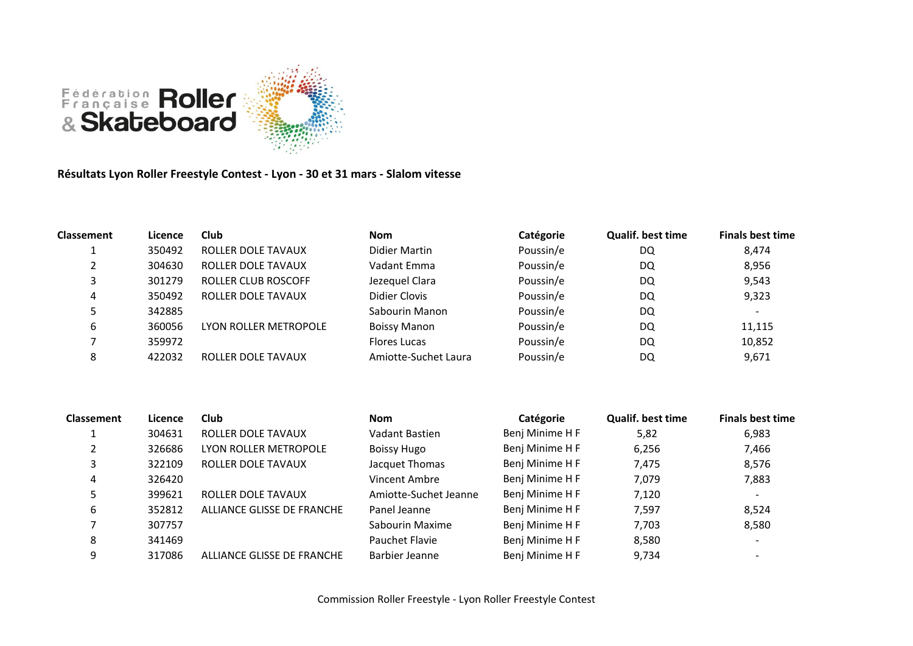

**Résultats Lyon Roller Freestyle Contest - Lyon - 30 et 31 mars - Slalom vitesse**

| <b>Classement</b> | Licence | Club                       | <b>Nom</b>           | Catégorie | <b>Qualif, best time</b> | <b>Finals best time</b>  |
|-------------------|---------|----------------------------|----------------------|-----------|--------------------------|--------------------------|
|                   | 350492  | ROLLER DOLE TAVAUX         | Didier Martin        | Poussin/e | DQ                       | 8,474                    |
|                   | 304630  | ROLLER DOLE TAVAUX         | Vadant Emma          | Poussin/e | DQ                       | 8,956                    |
|                   | 301279  | <b>ROLLER CLUB ROSCOFF</b> | Jezequel Clara       | Poussin/e | DQ                       | 9,543                    |
| 4                 | 350492  | ROLLER DOLE TAVAUX         | Didier Clovis        | Poussin/e | DQ                       | 9,323                    |
|                   | 342885  |                            | Sabourin Manon       | Poussin/e | DQ                       | $\overline{\phantom{a}}$ |
| 6                 | 360056  | LYON ROLLER METROPOLE      | <b>Boissy Manon</b>  | Poussin/e | DQ                       | 11,115                   |
|                   | 359972  |                            | Flores Lucas         | Poussin/e | DQ                       | 10,852                   |
| 8                 | 422032  | ROLLER DOLE TAVAUX         | Amiotte-Suchet Laura | Poussin/e | DQ                       | 9,671                    |

| Classement | Licence | <b>Club</b>                | <b>Nom</b>            | Catégorie       | <b>Qualif, best time</b> | <b>Finals best time</b>  |
|------------|---------|----------------------------|-----------------------|-----------------|--------------------------|--------------------------|
|            | 304631  | ROLLER DOLE TAVAUX         | Vadant Bastien        | Benj Minime H F | 5,82                     | 6,983                    |
|            | 326686  | LYON ROLLER METROPOLE      | <b>Boissy Hugo</b>    | Benj Minime H F | 6,256                    | 7,466                    |
| 3          | 322109  | ROLLER DOLE TAVAUX         | Jacquet Thomas        | Benj Minime H F | 7,475                    | 8,576                    |
| 4          | 326420  |                            | Vincent Ambre         | Benj Minime H F | 7,079                    | 7,883                    |
| 5          | 399621  | ROLLER DOLE TAVAUX         | Amiotte-Suchet Jeanne | Benj Minime H F | 7.120                    | $\overline{\phantom{0}}$ |
| 6          | 352812  | ALLIANCE GLISSE DE FRANCHE | Panel Jeanne          | Benj Minime H F | 7,597                    | 8,524                    |
|            | 307757  |                            | Sabourin Maxime       | Benj Minime H F | 7,703                    | 8,580                    |
| 8          | 341469  |                            | Pauchet Flavie        | Benj Minime H F | 8,580                    | $\overline{\phantom{0}}$ |
| 9          | 317086  | ALLIANCE GLISSE DE FRANCHE | Barbier Jeanne        | Benj Minime H F | 9.734                    | $\overline{\phantom{0}}$ |

Commission Roller Freestyle - Lyon Roller Freestyle Contest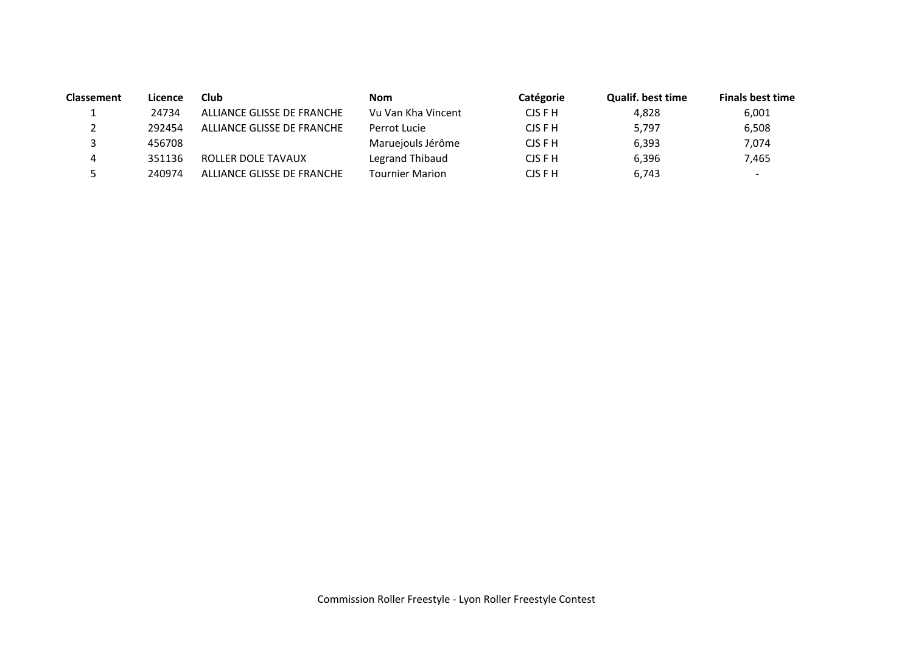| <b>Classement</b> | Licence | Club                       | <b>Nom</b>             | Catégorie | <b>Qualif, best time</b> | <b>Finals best time</b>  |
|-------------------|---------|----------------------------|------------------------|-----------|--------------------------|--------------------------|
|                   | 24734   | ALLIANCE GLISSE DE FRANCHE | Vu Van Kha Vincent     | CJS F H   | 4,828                    | 6,001                    |
|                   | 292454  | ALLIANCE GLISSE DE FRANCHE | Perrot Lucie           | CJS F H   | 5,797                    | 6,508                    |
|                   | 456708  |                            | Maruejouls Jérôme      | CJS F H   | 6,393                    | 7,074                    |
| 4                 | 351136  | ROLLER DOLE TAVAUX         | Legrand Thibaud        | CJS F H   | 6,396                    | 7,465                    |
|                   | 240974  | ALLIANCE GLISSE DE FRANCHE | <b>Tournier Marion</b> | CJS F H   | 6,743                    | $\overline{\phantom{a}}$ |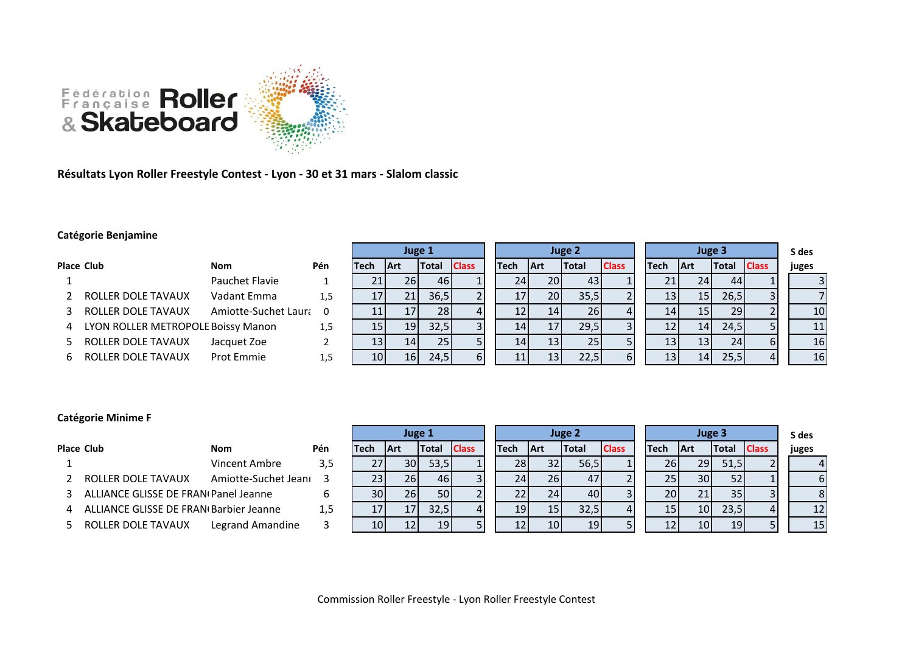

**Résultats Lyon Roller Freestyle Contest - Lyon - 30 et 31 mars - Slalom classic**

## **Catégorie Benjamine**

|                |                                    |                      |     |                 | Juge 1          |                 |              |      |            | Juge 2            |              |             |                        | Juge 3 |              | S des           |
|----------------|------------------------------------|----------------------|-----|-----------------|-----------------|-----------------|--------------|------|------------|-------------------|--------------|-------------|------------------------|--------|--------------|-----------------|
|                | <b>Place Club</b>                  | <b>Nom</b>           | Pén | Tech            | <b>Art</b>      | <b>Total</b>    | <b>Class</b> | Tech | <b>Art</b> | <b>Total</b>      | <b>Class</b> | <b>Tech</b> | <b>Art</b>             | Total  | <b>Class</b> | juges           |
|                |                                    | Pauchet Flavie       |     |                 | 26I             | 46              |              | 24   | 20I        | 431               |              |             | 24                     | 44     |              |                 |
| $\mathcal{P}$  | ROLLER DOLE TAVAUX                 | Vadant Emma          | 1,5 |                 | 211             | 36,5            |              | 17   | <b>20</b>  | 35,5              |              |             | 13 <sub>1</sub><br>15  | 26,5   |              |                 |
| 3              | <b>ROLLER DOLE TAVAUX</b>          | Amiotte-Suchet Laura |     |                 | 17 <sub>l</sub> | 28              |              |      | 14         | 26 I              |              |             | 14<br>15               | 29     |              | 10 <sub>l</sub> |
| $\overline{4}$ | LYON ROLLER METROPOLE Boissy Manon |                      | 1,5 | 15              | 19 <sup>1</sup> | 32,5            |              | 14   |            | 29,5              |              |             | 14                     | 24,5   |              | 11              |
| 5.             | ROLLER DOLE TAVAUX                 | Jacquet Zoe          |     |                 | 14              | 25 <sub>l</sub> |              | 14   |            | 25                |              |             | 13                     | 24     |              | 16              |
| 6              | ROLLER DOLE TAVAUX                 | Prot Emmie           | 1,5 | 10 <sub>l</sub> | 16 <sup>1</sup> | 24,5            |              |      |            | 22.5 <sub>1</sub> |              |             | 131<br>14 <sub>1</sub> | 25,5   |              | 16              |

## **Catégorie Minime F**

|                                        |                      |     |                 |                 |              |              |             |             |               |              |                 |             |       |              | ----  |    |
|----------------------------------------|----------------------|-----|-----------------|-----------------|--------------|--------------|-------------|-------------|---------------|--------------|-----------------|-------------|-------|--------------|-------|----|
| <b>Place Club</b>                      | <b>Nom</b>           | Pén | Tech            | <b>IArt</b>     | <b>Total</b> | <b>Class</b> | <b>Tech</b> | <b>IArt</b> | <b>ITotal</b> | <b>Class</b> | Tech            | <b>IArt</b> | Total | <b>Class</b> | juges |    |
|                                        | Vincent Ambre        | 3,5 |                 | 30 <sup>1</sup> | 53,5         |              | 28          | 32          | 56,5          |              | 26              | 29 I        | 51,5  |              |       |    |
| ROLLER DOLE TAVAUX                     | Amiotte-Suchet Jeani |     |                 | <b>26</b>       | 46           |              | 24ı         | <b>26</b>   | 47            |              | 25 I            | 30I         | 52    |              |       |    |
| ALLIANCE GLISSE DE FRAN(Panel Jeanne   |                      |     | 30 <sub>1</sub> | <b>26</b>       | <b>50</b>    |              |             | 24          | 40            |              | 20 l            |             | 35    |              |       |    |
| ALLIANCE GLISSE DE FRAN Barbier Jeanne |                      | 1,5 |                 | 17              |              |              | 191         | 15          | 32,5          |              | 15 <sub>l</sub> | 101         | 23,5  |              |       | 12 |
| ROLLER DOLE TAVAUX                     | Legrand Amandine     |     |                 |                 | 19I          |              |             | 10          | 19            |              |                 |             | 19    |              |       | 15 |

| <b>Tech</b> | Art | <b>Total</b> | <b>Class</b>   | Гe |
|-------------|-----|--------------|----------------|----|
| 27          | 30  | 53,5         |                |    |
| 23          | 26  | 46           | 3              |    |
| 30          | 26  | 50           | $\overline{2}$ |    |
| 17          | 17  | 32,5         |                |    |
| 10          | 12  | 19           | 5              |    |

|    | Juge 1       |              |      |     | Juge 2       | Juge 3         |             |     |                |  |  |
|----|--------------|--------------|------|-----|--------------|----------------|-------------|-----|----------------|--|--|
|    | <b>Total</b> | <b>Class</b> | Tech | Art | <b>Total</b> | <b>Class</b>   | <b>Tech</b> | Art | Tot            |  |  |
| 30 | 53,5         | 1            | 28   | 32  | 56,5         | $\mathbf{1}$   | 26          | 29  | 5              |  |  |
| 26 | 46           | 3            | 24   | 26  | 47           | 2              | 25          | 30  |                |  |  |
| 26 | 50           | ົ            | 22   | 24  | 40           | 3              | 20          | 21  |                |  |  |
| 17 | 32,5         |              | 19   | 15  | 32,5         | $\overline{4}$ | 15          | 10  | $\overline{a}$ |  |  |
| 12 | 19           | 5            | 12   | 10  | 19           | 5              | 12          | 10  |                |  |  |

|            | <b>Juge 3</b> | S des          |       |
|------------|---------------|----------------|-------|
| <b>\rt</b> | <b>Total</b>  |                | juges |
| 29         | 51,5          | $\overline{c}$ | 4     |
| 30         | 52            | 1              | 6     |
| 21         | 35            | 3              | 8     |
| 10         | 23,5          | 4              | 12    |
|            | q             |                | 5     |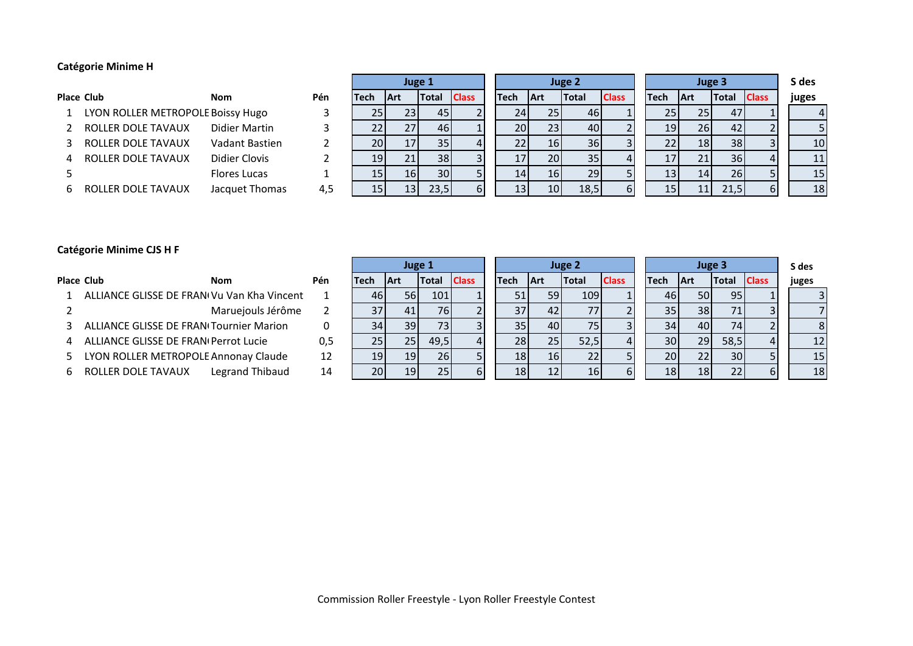## **Catégorie Minime H**

|    | <b>Place Club</b>                 | <b>Nom</b>          | Pén | Tech | <b>IArt</b>     | <b>Total</b>    | <b>Class</b> | <b>Tech</b>     | <b>IArt</b>     | <b>Total</b> | <b>Class</b> | <b>Tech</b> | <b>IArt</b>     | <b>Total</b> |      | <b>Class</b> | juges |
|----|-----------------------------------|---------------------|-----|------|-----------------|-----------------|--------------|-----------------|-----------------|--------------|--------------|-------------|-----------------|--------------|------|--------------|-------|
|    | LYON ROLLER METROPOLE Boissy Hugo |                     |     |      | 23              | 45              |              | 24 I            | 25              | 46           |              |             | 25 <sub>1</sub> |              | 47   |              |       |
|    | 2 ROLLER DOLE TAVAUX              | Didier Martin       |     |      | 27              | 461             |              | 20 <sub>1</sub> | 23              | 40           |              |             | 19 <sup>1</sup> | 26           | 42   |              |       |
|    | ROLLER DOLE TAVAUX                | Vadant Bastien      |     | 201  | 17              | 35I             |              |                 | <b>16</b>       | 36           |              |             | 22              | 18           | 38   |              | 10    |
|    | ROLLER DOLE TAVAUX                | Didier Clovis       |     | 19   | 21 <sub>1</sub> | 38I             |              |                 | 20              | 35           |              |             | 17              |              | 36   |              | 11    |
|    |                                   | <b>Flores Lucas</b> |     |      | 16 <sub>l</sub> | 30 <sup>1</sup> |              |                 | 16 <sup>1</sup> | 29           |              |             | 13 <sub>l</sub> | 14           | 26   |              | 15    |
| 6. | ROLLER DOLE TAVAUX                | Jacquet Thomas      | 4,5 |      | 13              |                 | 61           |                 | 10              | 18,5         |              |             | 15              |              | 21.5 |              | 18    |

|    |                | Juge 1       |     |             |
|----|----------------|--------------|-----|-------------|
| Tε | <b>Class</b>   | <b>Total</b> | Art | <b>Tech</b> |
|    | $\overline{2}$ | 45           | 23  | 25          |
|    | 1              | 46           | 27  | 22          |
|    | 4              | 35           | 17  | 20          |
|    | 3              | 38           | 21  | 19          |
|    | 5              | 30           | 16  | 15          |
|    | 6              | 23,5         | 13  | 15          |

|    | Juge 1       |              |             |     | Juge 2       |              | Juge 3      |     |                |
|----|--------------|--------------|-------------|-----|--------------|--------------|-------------|-----|----------------|
|    | <b>Total</b> | <b>Class</b> | <b>Tech</b> | Art | <b>Total</b> | <b>Class</b> | <b>Tech</b> | Art | Tot            |
| 23 | 45           | ำ            | 24          | 25  | 46           | 1            | 25          | 25  |                |
| 27 | 46           | 1            | 20          | 23  | 40           | 2            | 19          | 26  |                |
| 17 | 35           | 4            | 22          | 16  | 36           | 3            | 22          | 18  |                |
| 21 | 38           | 3            | 17          | 20  | 35           | 4            | 17          | 21  |                |
| 16 | 30           | 5            | 14          | 16  | 29           | 5            | 13          | 14  |                |
| 13 | 23,5         | 6            | 13          | 10  | 18,5         | 6            | 15          | 11  | $\overline{a}$ |

|      | S des |  |  |  |  |  |  |
|------|-------|--|--|--|--|--|--|
| lass | juges |  |  |  |  |  |  |
| 1    |       |  |  |  |  |  |  |
| 2    | 5     |  |  |  |  |  |  |
| 3    | 10    |  |  |  |  |  |  |
| 4    | 11    |  |  |  |  |  |  |
| 5    | 15    |  |  |  |  |  |  |
| 6    | 18    |  |  |  |  |  |  |

## **Catégorie Minime CJS H F**

|                    | <b>Nom</b>        | Pén                                                                                                                                                                                      |
|--------------------|-------------------|------------------------------------------------------------------------------------------------------------------------------------------------------------------------------------------|
|                    |                   | 1                                                                                                                                                                                        |
|                    | Maruejouls Jérôme | $\mathcal{P}$                                                                                                                                                                            |
|                    |                   | 0                                                                                                                                                                                        |
|                    |                   | 0,5                                                                                                                                                                                      |
|                    |                   | 12                                                                                                                                                                                       |
| ROLLER DOLE TAVAUX |                   | 14                                                                                                                                                                                       |
|                    | ace Club          | ALLIANCE GLISSE DE FRANIVu Van Kha Vincent<br>ALLIANCE GLISSE DE FRAN Tournier Marion<br>ALLIANCE GLISSE DE FRAN Perrot Lucie<br>LYON ROLLER METROPOLE Annonay Claude<br>Legrand Thibaud |

|   | categorie ivililitie cj3 ii i              |                   |     |        |             |              |              |        |             |                 |              |              |        |                 |                 |              |       |    |
|---|--------------------------------------------|-------------------|-----|--------|-------------|--------------|--------------|--------|-------------|-----------------|--------------|--------------|--------|-----------------|-----------------|--------------|-------|----|
|   |                                            |                   |     | Juge 1 |             |              |              | Juge 2 |             |                 |              | Juge 3       |        |                 | S des           |              |       |    |
|   | <b>Place Club</b>                          | <b>Nom</b>        | Pén | Tech   | <b>IArt</b> | <b>Total</b> | <b>Class</b> |        | <b>Tech</b> | <b>IArt</b>     | <b>Total</b> | <b>Class</b> | lTech. | <b>IArt</b>     | <b>Total</b>    | <b>Class</b> | juges |    |
|   | ALLIANCE GLISSE DE FRAN(Vu Van Kha Vincent |                   |     | 461    | 56          | 101          |              |        |             | 59              | 109          |              |        | 46              | 95<br>50 I      |              |       |    |
|   |                                            | Maruejouls Jérôme |     |        | 41          | 76 I         |              |        |             | 42              | 77           |              |        | 35 <sub>l</sub> | 71<br>38 I      |              |       |    |
|   | ALLIANCE GLISSE DE FRAN Tournier Marion    |                   |     | 34 I   | 39          |              |              |        | 35I         | 40              | <b>75</b>    |              |        | 34<br>401       | 74              |              |       |    |
| 4 | ALLIANCE GLISSE DE FRAN(Perrot Lucie       |                   | 0,5 |        | 25          | 49,5         | 4            |        | 28I         | 25              | 52,5         |              |        | 30I<br>29       | 58,5            |              |       | 12 |
|   | LYON ROLLER METROPOLE Annonay Claude       |                   | 12  | 19     | 19          | 26I          |              |        | 181         | 16 <sub>l</sub> | 22           |              |        | 20              | 30 <sup>1</sup> |              |       | 15 |
| 6 | ROLLER DOLE TAVAUX                         | Legrand Thibaud   | 14  | 20I    | 19          | <b>25</b>    |              |        | 18          | 12              | 16           |              |        | <b>18</b>       | 22<br>18        |              |       | 18 |

| S des          |                         | Juge 3       |                |  |  |  |
|----------------|-------------------------|--------------|----------------|--|--|--|
| juges          | <b>Class</b>            | <b>Total</b> | Art            |  |  |  |
| Ξ              | 1                       | 95           | 50             |  |  |  |
|                | 3                       | 71           | 38             |  |  |  |
| ۶              | $\overline{\mathbf{c}}$ | 74           | 40             |  |  |  |
| 12             | 4                       | 58,5         | 29             |  |  |  |
| 1!             | 5                       | 30           | 22             |  |  |  |
| 1 <sup>5</sup> | հ                       | つつ           | 1 <sub>2</sub> |  |  |  |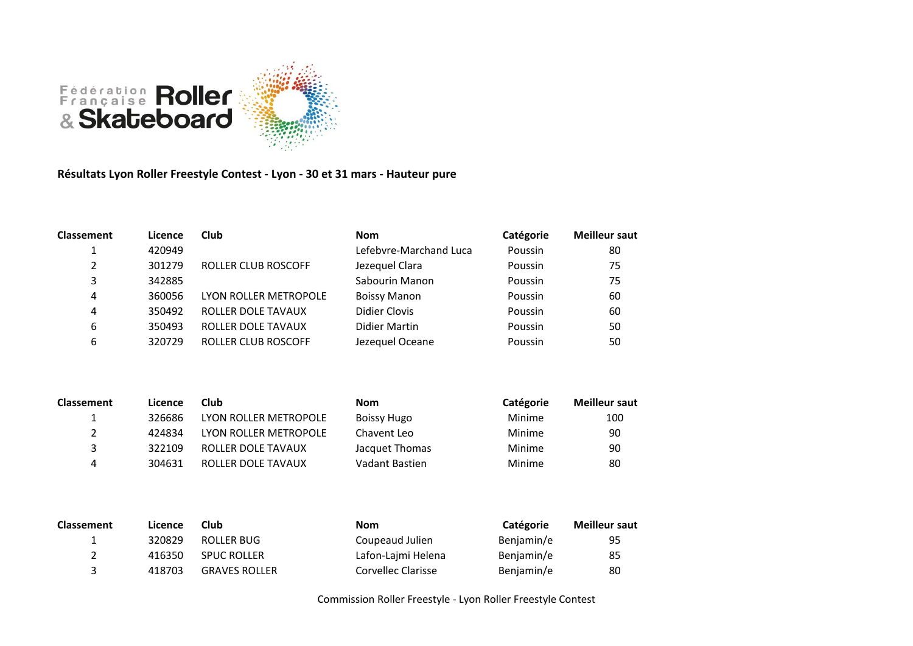

**Résultats Lyon Roller Freestyle Contest - Lyon - 30 et 31 mars - Hauteur pure**

| <b>Classement</b> | Licence | Club                       | <b>Nom</b>             | Catégorie | <b>Meilleur saut</b> |
|-------------------|---------|----------------------------|------------------------|-----------|----------------------|
|                   | 420949  |                            | Lefebvre-Marchand Luca | Poussin   | 80                   |
| 2                 | 301279  | ROLLER CLUB ROSCOFF        | Jezequel Clara         | Poussin   | 75                   |
| 3                 | 342885  |                            | Sabourin Manon         | Poussin   | 75                   |
| 4                 | 360056  | LYON ROLLER METROPOLE      | <b>Boissy Manon</b>    | Poussin   | 60                   |
| 4                 | 350492  | ROLLER DOLE TAVAUX         | Didier Clovis          | Poussin   | 60                   |
| 6                 | 350493  | ROLLER DOLE TAVAUX         | Didier Martin          | Poussin   | 50                   |
| 6                 | 320729  | <b>ROLLER CLUB ROSCOFF</b> | Jezequel Oceane        | Poussin   | 50                   |

| <b>Classement</b> | Licence | <b>Club</b>           | Nom            | Catégorie | Meilleur saut |
|-------------------|---------|-----------------------|----------------|-----------|---------------|
|                   | 326686  | LYON ROLLER METROPOLE | Boissy Hugo    | Minime    | 100           |
| 2                 | 424834  | LYON ROLLER METROPOLE | Chavent Leo    | Minime    | 90            |
| ર                 | 322109  | ROLLER DOLE TAVAUX    | Jacquet Thomas | Minime    | 90            |
| 4                 | 304631  | ROLLER DOLE TAVAUX    | Vadant Bastien | Minime    | 80            |

| <b>Classement</b> | Licence | Club                 | Nom                | Catégorie  | <b>Meilleur saut</b> |
|-------------------|---------|----------------------|--------------------|------------|----------------------|
|                   | 320829  | ROLLER BUG           | Coupeaud Julien    | Benjamin/e | 95                   |
| 2                 | 416350  | <b>SPUC ROLLER</b>   | Lafon-Lajmi Helena | Benjamin/e | 85                   |
| 3                 | 418703  | <b>GRAVES ROLLER</b> | Corvellec Clarisse | Benjamin/e | 80                   |

Commission Roller Freestyle - Lyon Roller Freestyle Contest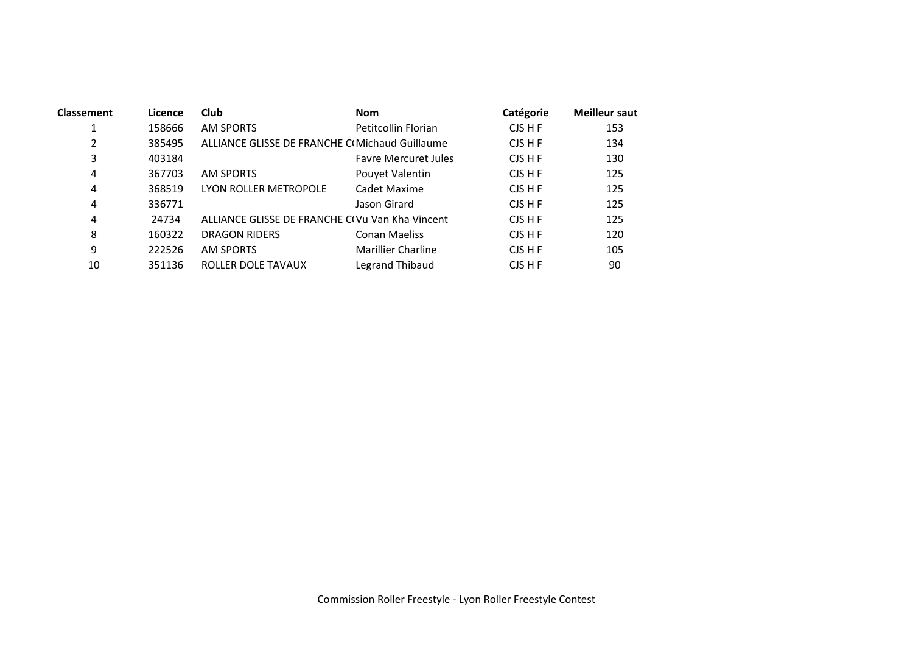| <b>Classement</b> | Licence | <b>Club</b>                                     | <b>Nom</b>                  | Catégorie | <b>Meilleur saut</b> |
|-------------------|---------|-------------------------------------------------|-----------------------------|-----------|----------------------|
|                   | 158666  | <b>AM SPORTS</b>                                | Petitcollin Florian         | CJS H F   | 153                  |
| $\overline{2}$    | 385495  | ALLIANCE GLISSE DE FRANCHE CIMichaud Guillaume  |                             | CJS H F   | 134                  |
| 3                 | 403184  |                                                 | <b>Favre Mercuret Jules</b> | CJS H F   | 130                  |
| 4                 | 367703  | <b>AM SPORTS</b>                                | Pouyet Valentin             | CJS H F   | 125                  |
| 4                 | 368519  | LYON ROLLER METROPOLE                           | Cadet Maxime                | CJS H F   | 125                  |
| 4                 | 336771  |                                                 | Jason Girard                | CJS H F   | 125                  |
| 4                 | 24734   | ALLIANCE GLISSE DE FRANCHE CIVU Van Kha Vincent |                             | CJS H F   | 125                  |
| 8                 | 160322  | <b>DRAGON RIDERS</b>                            | <b>Conan Maeliss</b>        | CJS H F   | 120                  |
| 9                 | 222526  | <b>AM SPORTS</b>                                | <b>Marillier Charline</b>   | CJS H F   | 105                  |
| 10                | 351136  | ROLLER DOLE TAVAUX                              | Legrand Thibaud             | CJS H F   | 90                   |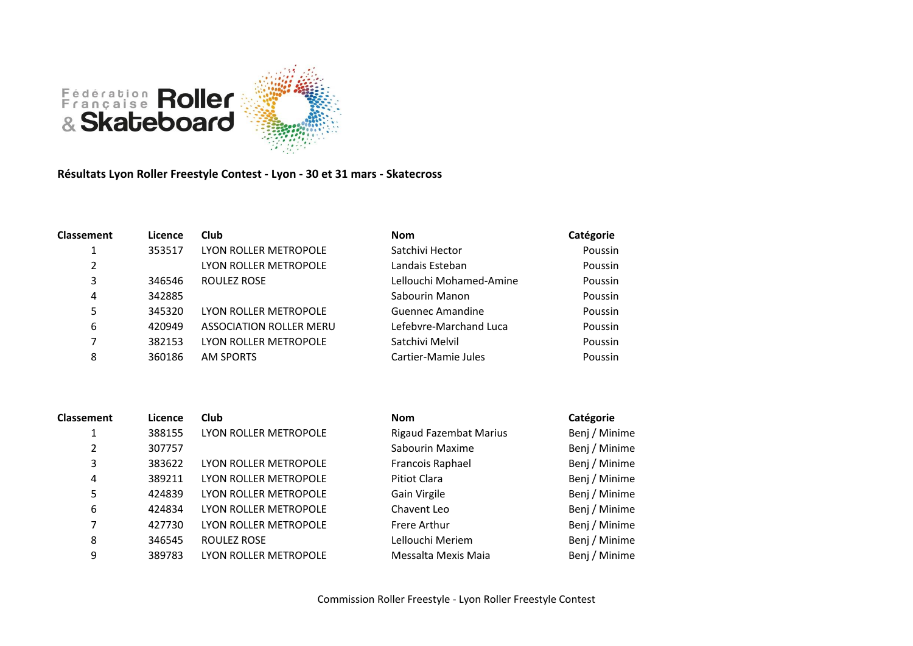

**Résultats Lyon Roller Freestyle Contest - Lyon - 30 et 31 mars - Skatecross**

| <b>Classement</b> | Licence | Club                           | <b>Nom</b>              | Catégorie |
|-------------------|---------|--------------------------------|-------------------------|-----------|
|                   | 353517  | LYON ROLLER METROPOLE          | Satchivi Hector         | Poussin   |
| $\overline{2}$    |         | LYON ROLLER METROPOLE          | Landais Esteban         | Poussin   |
| 3                 | 346546  | ROULEZ ROSE                    | Lellouchi Mohamed-Amine | Poussin   |
| 4                 | 342885  |                                | Sabourin Manon          | Poussin   |
| 5                 | 345320  | LYON ROLLER METROPOLE          | Guennec Amandine        | Poussin   |
| 6                 | 420949  | <b>ASSOCIATION ROLLER MERU</b> | Lefebvre-Marchand Luca  | Poussin   |
| 7                 | 382153  | LYON ROLLER METROPOLE          | Satchivi Melvil         | Poussin   |
| 8                 | 360186  | <b>AM SPORTS</b>               | Cartier-Mamie Jules     | Poussin   |

| <b>Classement</b> | Licence | Club                  | <b>Nom</b>                    | Catégorie     |
|-------------------|---------|-----------------------|-------------------------------|---------------|
| 1                 | 388155  | LYON ROLLER METROPOLE | <b>Rigaud Fazembat Marius</b> | Benj / Minime |
| 2                 | 307757  |                       | Sabourin Maxime               | Benj / Minime |
| 3                 | 383622  | LYON ROLLER METROPOLE | Francois Raphael              | Benj / Minime |
| 4                 | 389211  | LYON ROLLER METROPOLE | <b>Pitiot Clara</b>           | Benj / Minime |
| 5                 | 424839  | LYON ROLLER METROPOLE | Gain Virgile                  | Benj / Minime |
| 6                 | 424834  | LYON ROLLER METROPOLE | Chavent Leo                   | Benj / Minime |
| 7                 | 427730  | LYON ROLLER METROPOLE | Frere Arthur                  | Benj / Minime |
| 8                 | 346545  | ROULEZ ROSE           | Lellouchi Meriem              | Benj / Minime |
| 9                 | 389783  | LYON ROLLER METROPOLE | Messalta Mexis Maia           | Benj / Minime |
|                   |         |                       |                               |               |